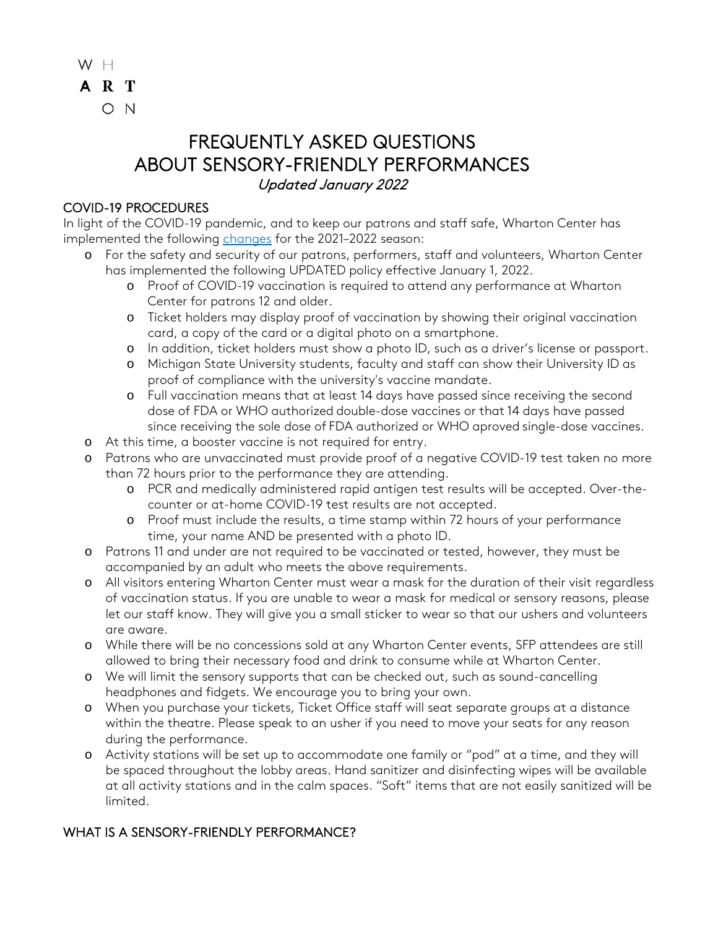$W$   $H$ A R T O N

# FREQUENTLY ASKED QUESTIONS ABOUT SENSORY-FRIENDLY PERFORMANCES Updated January 2022

### COVID-19 PROCEDURES

In light of the COVID-19 pandemic, and to keep our patrons and staff safe, Wharton Center has implemented the following [changes](https://www.whartoncenter.com/events-tickets/ticket-office-information/covid-19/) for the 2021-2022 season:

- o For the safety and security of our patrons, performers, staff and volunteers, Wharton Center has implemented the following UPDATED policy effective January 1, 2022.
	- o Proof of COVID-19 vaccination is required to attend any performance at Wharton Center for patrons 12 and older.
	- o Ticket holders may display proof of vaccination by showing their original vaccination card, a copy of the card or a digital photo on a smartphone.
	- o In addition, ticket holders must show a photo ID, such as a driver's license or passport.
	- o Michigan State University students, faculty and staff can show their University ID as proof of compliance with the university's vaccine mandate.
	- o Full vaccination means that at least 14 days have passed since receiving the second dose of FDA or WHO authorized double-dose vaccines or that 14 days have passed since receiving the sole dose of FDA authorized or WHO aproved single-dose vaccines.
- o At this time, a booster vaccine is not required for entry.
- o Patrons who are unvaccinated must provide proof of a negative COVID-19 test taken no more than 72 hours prior to the performance they are attending.
	- o PCR and medically administered rapid antigen test results will be accepted. Over-thecounter or at-home COVID-19 test results are not accepted.
	- o Proof must include the results, a time stamp within 72 hours of your performance time, your name AND be presented with a photo ID.
- o Patrons 11 and under are not required to be vaccinated or tested, however, they must be accompanied by an adult who meets the above requirements.
- o All visitors entering Wharton Center must wear a mask for the duration of their visit regardless of vaccination status. If you are unable to wear a mask for medical or sensory reasons, please let our staff know. They will give you a small sticker to wear so that our ushers and volunteers are aware.
- o While there will be no concessions sold at any Wharton Center events, SFP attendees are still allowed to bring their necessary food and drink to consume while at Wharton Center.
- o We will limit the sensory supports that can be checked out, such as sound-cancelling headphones and fidgets. We encourage you to bring your own.
- o When you purchase your tickets, Ticket Office staff will seat separate groups at a distance within the theatre. Please speak to an usher if you need to move your seats for any reason during the performance.
- o Activity stations will be set up to accommodate one family or "pod" at a time, and they will be spaced throughout the lobby areas. Hand sanitizer and disinfecting wipes will be available at all activity stations and in the calm spaces. "Soft" items that are not easily sanitized will be limited.

## WHAT IS A SENSORY-FRIENDLY PERFORMANCE?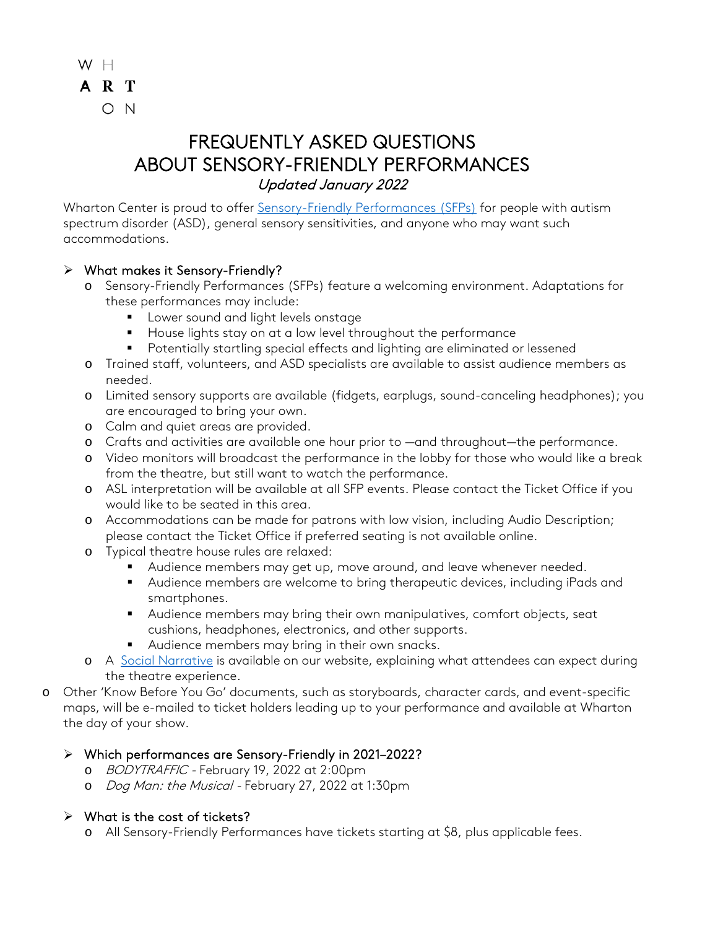

Wharton Center is proud to offer [Sensory-Friendly Performances \(SFPs\)](https://www.whartoncenter.com/plan-your-visit/accessibility/sensory-friendly-performances) for people with autism spectrum disorder (ASD), general sensory sensitivities, and anyone who may want such accommodations.

### What makes it Sensory-Friendly?

- o Sensory-Friendly Performances (SFPs) feature a welcoming environment. Adaptations for these performances may include:
	- **Lower sound and light levels onstage**
	- House lights stay on at a low level throughout the performance
	- **Potentially startling special effects and lighting are eliminated or lessened**
- o Trained staff, volunteers, and ASD specialists are available to assist audience members as needed.
- o Limited sensory supports are available (fidgets, earplugs, sound-canceling headphones); you are encouraged to bring your own.
- o Calm and quiet areas are provided.
- o Crafts and activities are available one hour prior to —and throughout—the performance.
- o Video monitors will broadcast the performance in the lobby for those who would like a break from the theatre, but still want to watch the performance.
- o ASL interpretation will be available at all SFP events. Please contact the Ticket Office if you would like to be seated in this area.
- o Accommodations can be made for patrons with low vision, including Audio Description; please contact the Ticket Office if preferred seating is not available online.
- o Typical theatre house rules are relaxed:
	- Audience members may get up, move around, and leave whenever needed.
	- Audience members are welcome to bring therapeutic devices, including iPads and smartphones.
	- Audience members may bring their own manipulatives, comfort objects, seat cushions, headphones, electronics, and other supports.
	- Audience members may bring in their own snacks.
- o A Social [Narrative](https://whartoncenterassets.com/wcpa/pdfs/1920/SFP/Social-Narrative.pdf) is available on our website, explaining what attendees can expect during the theatre experience.
- o Other 'Know Before You Go' documents, such as storyboards, character cards, and event-specific maps, will be e-mailed to ticket holders leading up to your performance and available at Wharton the day of your show.

### Which performances are Sensory-Friendly in 2021–2022?

- o BODYTRAFFIC February 19, 2022 at 2:00pm
- o *Dog Man: the Musical -* February 27, 2022 at 1:30pm

### $\triangleright$  What is the cost of tickets?

o All Sensory-Friendly Performances have tickets starting at \$8, plus applicable fees.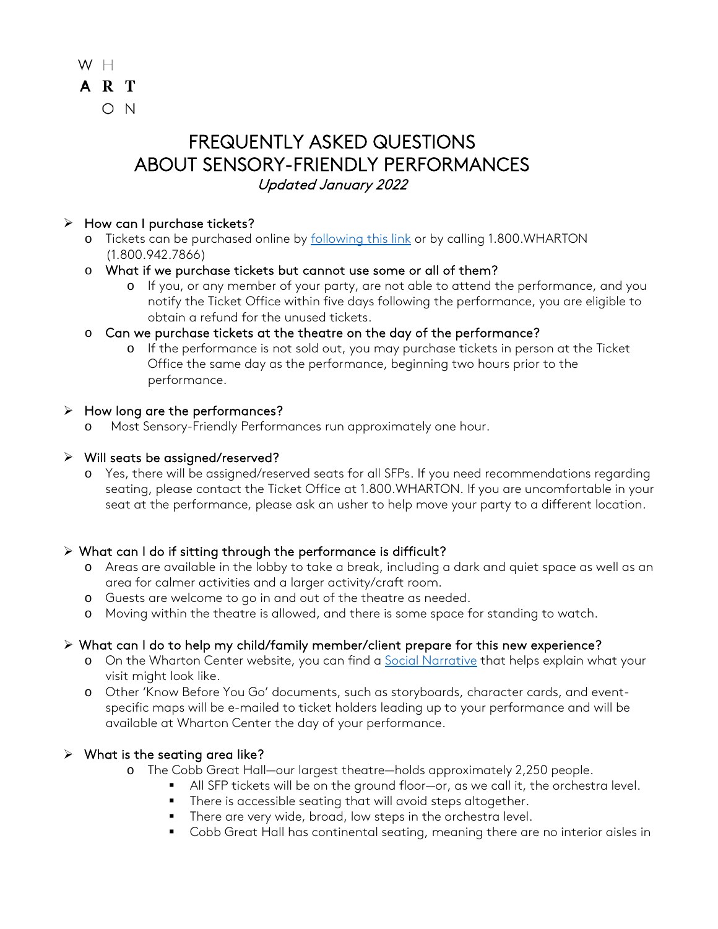

#### $\triangleright$  How can I purchase tickets?

- o Tickets can be purchased online by [following this link](http://www.whartoncenter.com/sfp) or by calling 1.800.WHARTON (1.800.942.7866)
- o What if we purchase tickets but cannot use some or all of them?
	- o If you, or any member of your party, are not able to attend the performance, and you notify the Ticket Office within five days following the performance, you are eligible to obtain a refund for the unused tickets.
- o Can we purchase tickets at the theatre on the day of the performance?
	- o If the performance is not sold out, you may purchase tickets in person at the Ticket Office the same day as the performance, beginning two hours prior to the performance.

#### $\triangleright$  How long are the performances?

Most Sensory-Friendly Performances run approximately one hour.

#### $\triangleright$  Will seats be assigned/reserved?

o Yes, there will be assigned/reserved seats for all SFPs. If you need recommendations regarding seating, please contact the Ticket Office at 1.800.WHARTON. If you are uncomfortable in your seat at the performance, please ask an usher to help move your party to a different location.

### $\triangleright$  What can I do if sitting through the performance is difficult?

- o Areas are available in the lobby to take a break, including a dark and quiet space as well as an area for calmer activities and a larger activity/craft room.
- o Guests are welcome to go in and out of the theatre as needed.
- o Moving within the theatre is allowed, and there is some space for standing to watch.

### What can I do to help my child/family member/client prepare for this new experience?

- o On the Wharton Center website, you can find a Social [Narrative](https://whartoncenterassets.com/wcpa/pdfs/1920/SFP/Social-Narrative.pdf) that helps explain what your visit might look like.
- o Other 'Know Before You Go' documents, such as storyboards, character cards, and eventspecific maps will be e-mailed to ticket holders leading up to your performance and will be available at Wharton Center the day of your performance.

### $\triangleright$  What is the seating area like?

- o The Cobb Great Hall—our largest theatre—holds approximately 2,250 people.
	- All SFP tickets will be on the ground floor—or, as we call it, the orchestra level.
	- There is accessible seating that will avoid steps altogether.
	- There are very wide, broad, low steps in the orchestra level.
	- Cobb Great Hall has continental seating, meaning there are no interior aisles in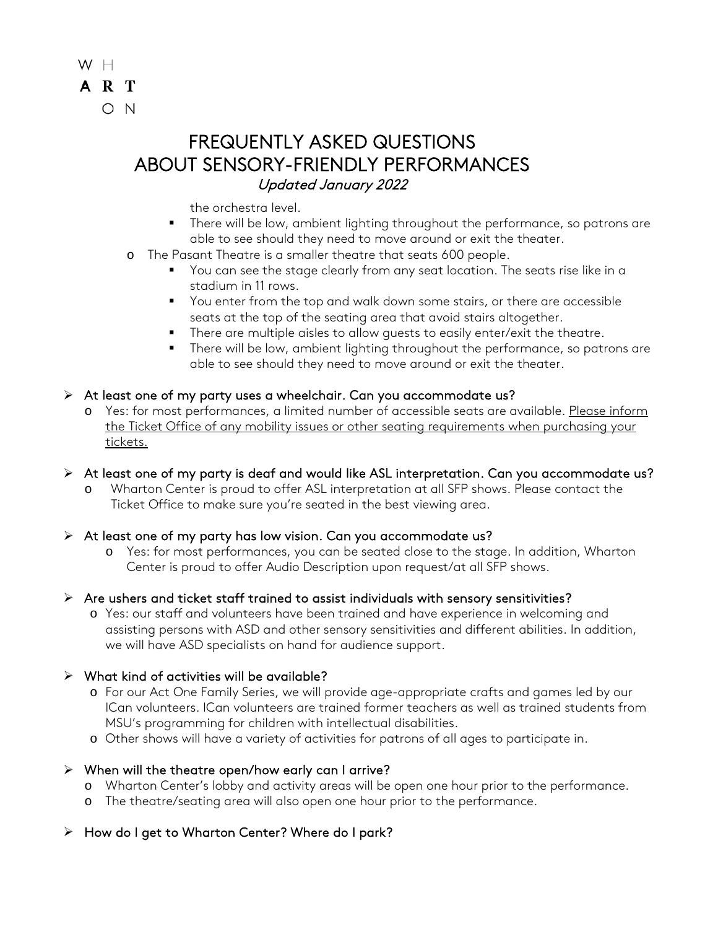

the orchestra level.

- **There will be low, ambient lighting throughout the performance, so patrons are** able to see should they need to move around or exit the theater.
- o The Pasant Theatre is a smaller theatre that seats 600 people.
	- You can see the stage clearly from any seat location. The seats rise like in a stadium in 11 rows.
	- You enter from the top and walk down some stairs, or there are accessible seats at the top of the seating area that avoid stairs altogether.
	- **There are multiple aisles to allow guests to easily enter/exit the theatre.**
	- **There will be low, ambient lighting throughout the performance, so patrons are** able to see should they need to move around or exit the theater.

#### $\triangleright$  At least one of my party uses a wheelchair. Can you accommodate us?

o Yes: for most performances, a limited number of accessible seats are available. Please inform the Ticket Office of any mobility issues or other seating requirements when purchasing your tickets.

### At least one of my party is deaf and would like ASL interpretation. Can you accommodate us?

Wharton Center is proud to offer ASL interpretation at all SFP shows. Please contact the Ticket Office to make sure you're seated in the best viewing area.

#### $\triangleright$  At least one of my party has low vision. Can you accommodate us?

o Yes: for most performances, you can be seated close to the stage. In addition, Wharton Center is proud to offer Audio Description upon request/at all SFP shows.

#### $\triangleright$  Are ushers and ticket staff trained to assist individuals with sensory sensitivities?

o Yes: our staff and volunteers have been trained and have experience in welcoming and assisting persons with ASD and other sensory sensitivities and different abilities. In addition, we will have ASD specialists on hand for audience support.

#### $\triangleright$  What kind of activities will be available?

- o For our Act One Family Series, we will provide age-appropriate crafts and games led by our ICan volunteers. ICan volunteers are trained former teachers as well as trained students from MSU's programming for children with intellectual disabilities.
- o Other shows will have a variety of activities for patrons of all ages to participate in.

### $\triangleright$  When will the theatre open/how early can I arrive?

- o Wharton Center's lobby and activity areas will be open one hour prior to the performance.
- o The theatre/seating area will also open one hour prior to the performance.

### $\triangleright$  How do I get to Wharton Center? Where do I park?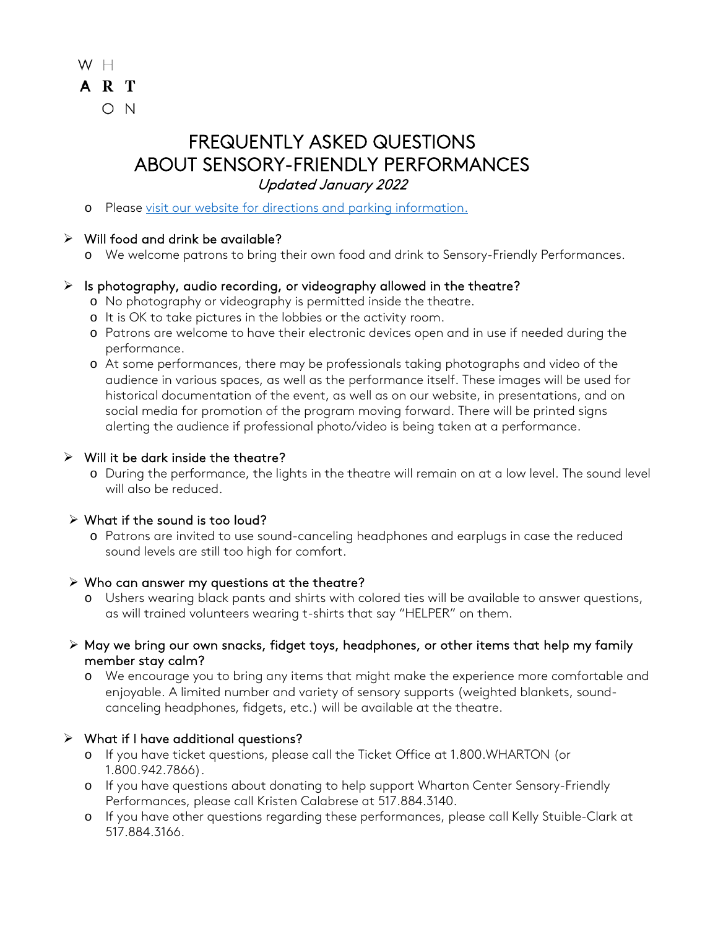

o Please [visit our website for directions and parking information.](https://www.whartoncenter.com/directions-parking)

## $\triangleright$  Will food and drink be available?

o We welcome patrons to bring their own food and drink to Sensory-Friendly Performances.

### $\triangleright$  Is photography, audio recording, or videography allowed in the theatre?

- o No photography or videography is permitted inside the theatre.
- o It is OK to take pictures in the lobbies or the activity room.
- o Patrons are welcome to have their electronic devices open and in use if needed during the performance.
- o At some performances, there may be professionals taking photographs and video of the audience in various spaces, as well as the performance itself. These images will be used for historical documentation of the event, as well as on our website, in presentations, and on social media for promotion of the program moving forward. There will be printed signs alerting the audience if professional photo/video is being taken at a performance.

### $\triangleright$  Will it be dark inside the theatre?

o During the performance, the lights in the theatre will remain on at a low level. The sound level will also be reduced.

### What if the sound is too loud?

o Patrons are invited to use sound-canceling headphones and earplugs in case the reduced sound levels are still too high for comfort.

### $\triangleright$  Who can answer my questions at the theatre?

- o Ushers wearing black pants and shirts with colored ties will be available to answer questions, as will trained volunteers wearing t-shirts that say "HELPER" on them.
- $\triangleright$  May we bring our own snacks, fidget toys, headphones, or other items that help my family member stay calm?
	- o We encourage you to bring any items that might make the experience more comfortable and enjoyable. A limited number and variety of sensory supports (weighted blankets, soundcanceling headphones, fidgets, etc.) will be available at the theatre.

## $\triangleright$  What if I have additional questions?

- o If you have ticket questions, please call the Ticket Office at 1.800.WHARTON (or 1.800.942.7866).
- o If you have questions about donating to help support Wharton Center Sensory-Friendly Performances, please call Kristen Calabrese at 517.884.3140.
- o If you have other questions regarding these performances, please call Kelly Stuible-Clark at 517.884.3166.